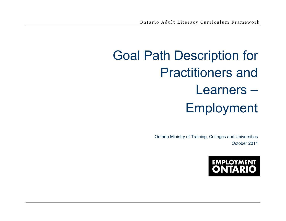# Goal Path Description for Practitioners and Learners – Employment

Ontario Ministry of Training, Colleges and Universities October 2011

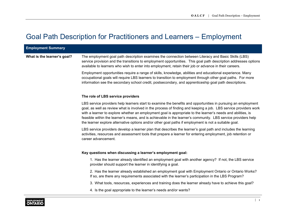# Goal Path Description for Practitioners and Learners – Employment

| <b>Employment Summary</b>   |                                                                                                                                                                                                                                                                                                                                                                                                                                                                                                                                                                             |
|-----------------------------|-----------------------------------------------------------------------------------------------------------------------------------------------------------------------------------------------------------------------------------------------------------------------------------------------------------------------------------------------------------------------------------------------------------------------------------------------------------------------------------------------------------------------------------------------------------------------------|
| What is the learner's goal? | The employment goal path description examines the connection between Literacy and Basic Skills (LBS)<br>service provision and the transitions to employment opportunities. This goal path description addresses options<br>available to learners who wish to enter into employment, retain their job or advance in their careers.                                                                                                                                                                                                                                           |
|                             | Employment opportunities require a range of skills, knowledge, abilities and educational experience. Many<br>occupational goals will require LBS learners to transition to employment through other goal paths. For more<br>information see the secondary school credit, postsecondary, and apprenticeship goal path descriptions.                                                                                                                                                                                                                                          |
|                             | The role of LBS service providers                                                                                                                                                                                                                                                                                                                                                                                                                                                                                                                                           |
|                             | LBS service providers help learners start to examine the benefits and opportunities in pursuing an employment<br>goal, as well as review what is involved in the process of finding and keeping a job. LBS service providers work<br>with a learner to explore whether an employment goal is appropriate to the learner's needs and abilities, is<br>feasible within the learner's means, and is achievable in the learner's community. LBS service providers help<br>the learner explore alternative options and/or other goal paths if employment is not a suitable goal. |
|                             | LBS service providers develop a learner plan that describes the learner's goal path and includes the learning<br>activities, resources and assessment tools that prepare a learner for entering employment, job retention or<br>career advancement.                                                                                                                                                                                                                                                                                                                         |
|                             | Key questions when discussing a learner's employment goal:                                                                                                                                                                                                                                                                                                                                                                                                                                                                                                                  |
|                             | 1. Has the learner already identified an employment goal with another agency? If not, the LBS service<br>provider should support the learner in identifying a goal.                                                                                                                                                                                                                                                                                                                                                                                                         |
|                             | 2. Has the learner already established an employment goal with Employment Ontario or Ontario Works?<br>If so, are there any requirements associated with the learner's participation in the LBS Program?                                                                                                                                                                                                                                                                                                                                                                    |
|                             | 3. What tools, resources, experiences and training does the learner already have to achieve this goal?                                                                                                                                                                                                                                                                                                                                                                                                                                                                      |
|                             | 4. Is the goal appropriate to the learner's needs and/or wants?                                                                                                                                                                                                                                                                                                                                                                                                                                                                                                             |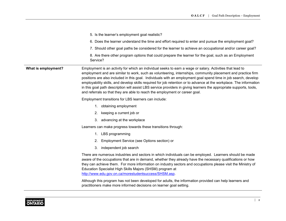|                     | 5. Is the learner's employment goal realistic?                                                                                                                                                                                                                                                                                                                                                                                                                                                                                                                                                                                                                            |  |  |
|---------------------|---------------------------------------------------------------------------------------------------------------------------------------------------------------------------------------------------------------------------------------------------------------------------------------------------------------------------------------------------------------------------------------------------------------------------------------------------------------------------------------------------------------------------------------------------------------------------------------------------------------------------------------------------------------------------|--|--|
|                     | 6. Does the learner understand the time and effort required to enter and pursue the employment goal?                                                                                                                                                                                                                                                                                                                                                                                                                                                                                                                                                                      |  |  |
|                     | 7. Should other goal paths be considered for the learner to achieve an occupational and/or career goal?                                                                                                                                                                                                                                                                                                                                                                                                                                                                                                                                                                   |  |  |
|                     | 8. Are there other program options that could prepare the learner for the goal, such as an Employment<br>Service?                                                                                                                                                                                                                                                                                                                                                                                                                                                                                                                                                         |  |  |
| What is employment? | Employment is an activity for which an individual seeks to earn a wage or salary. Activities that lead to<br>employment and are similar to work, such as volunteering, internships, community placement and practice firm<br>positions are also included in this goal. Individuals with an employment goal spend time in job search, develop<br>employability skills, and develop skills required for job retention or to advance at the workplace. The information<br>in this goal path description will assist LBS service providers in giving learners the appropriate supports, tools,<br>and referrals so that they are able to reach the employment or career goal. |  |  |
|                     | Employment transitions for LBS learners can include:                                                                                                                                                                                                                                                                                                                                                                                                                                                                                                                                                                                                                      |  |  |
|                     | 1. obtaining employment                                                                                                                                                                                                                                                                                                                                                                                                                                                                                                                                                                                                                                                   |  |  |
|                     | keeping a current job or<br>2.                                                                                                                                                                                                                                                                                                                                                                                                                                                                                                                                                                                                                                            |  |  |
|                     | 3. advancing at the workplace                                                                                                                                                                                                                                                                                                                                                                                                                                                                                                                                                                                                                                             |  |  |
|                     | Learners can make progress towards these transitions through:                                                                                                                                                                                                                                                                                                                                                                                                                                                                                                                                                                                                             |  |  |
|                     | LBS programming<br>1.                                                                                                                                                                                                                                                                                                                                                                                                                                                                                                                                                                                                                                                     |  |  |
|                     | Employment Service (see Options section) or<br>2.                                                                                                                                                                                                                                                                                                                                                                                                                                                                                                                                                                                                                         |  |  |
|                     | 3.<br>independent job search                                                                                                                                                                                                                                                                                                                                                                                                                                                                                                                                                                                                                                              |  |  |
|                     | There are numerous industries and sectors in which individuals can be employed. Learners should be made<br>aware of the occupations that are in demand, whether they already have the necessary qualifications or how<br>they can achieve them. For more information on industry sectors and occupations please visit the Ministry of<br>Education Specialist High Skills Majors (SHSM) program at<br>http://www.edu.gov.on.ca/morestudentsuccess/SHSM.asp.                                                                                                                                                                                                               |  |  |
|                     | Although this program has not been developed for adults, the information provided can help learners and<br>practitioners make more informed decisions on learner goal setting.                                                                                                                                                                                                                                                                                                                                                                                                                                                                                            |  |  |

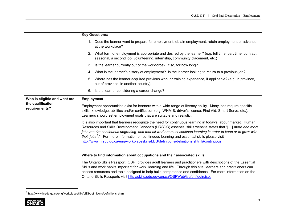|                                    | <b>Key Questions:</b>                                                                                                                                                                                                                                                                                     |                                                                                                                                                                                                                                                                                                                                                                                                                                                                                                                                                      |  |
|------------------------------------|-----------------------------------------------------------------------------------------------------------------------------------------------------------------------------------------------------------------------------------------------------------------------------------------------------------|------------------------------------------------------------------------------------------------------------------------------------------------------------------------------------------------------------------------------------------------------------------------------------------------------------------------------------------------------------------------------------------------------------------------------------------------------------------------------------------------------------------------------------------------------|--|
|                                    |                                                                                                                                                                                                                                                                                                           | 1. Does the learner want to prepare for employment, obtain employment, retain employment or advance<br>at the workplace?                                                                                                                                                                                                                                                                                                                                                                                                                             |  |
|                                    |                                                                                                                                                                                                                                                                                                           | 2. What form of employment is appropriate and desired by the learner? (e.g. full time, part time, contract,<br>seasonal, a second job, volunteering, internship, community placement, etc.)                                                                                                                                                                                                                                                                                                                                                          |  |
|                                    | 3.                                                                                                                                                                                                                                                                                                        | Is the learner currently out of the workforce? If so, for how long?                                                                                                                                                                                                                                                                                                                                                                                                                                                                                  |  |
|                                    | 4.                                                                                                                                                                                                                                                                                                        | What is the learner's history of employment? Is the learner looking to return to a previous job?                                                                                                                                                                                                                                                                                                                                                                                                                                                     |  |
|                                    | 5.                                                                                                                                                                                                                                                                                                        | Where has the learner acquired previous work or training experience, if applicable? (e.g. in province,<br>out of province, in another country)                                                                                                                                                                                                                                                                                                                                                                                                       |  |
|                                    | 6.                                                                                                                                                                                                                                                                                                        | Is the learner considering a career change?                                                                                                                                                                                                                                                                                                                                                                                                                                                                                                          |  |
| Who is eligible and what are       | <b>Employment</b>                                                                                                                                                                                                                                                                                         |                                                                                                                                                                                                                                                                                                                                                                                                                                                                                                                                                      |  |
| the qualification<br>requirements? | Employment opportunities exist for learners with a wide range of literacy ability. Many jobs require specific<br>skills, knowledge, abilities and/or certification (e.g. WHMIS, driver's license, First Aid, Smart Serve, etc.).<br>Learners should set employment goals that are suitable and realistic. |                                                                                                                                                                                                                                                                                                                                                                                                                                                                                                                                                      |  |
|                                    |                                                                                                                                                                                                                                                                                                           | It is also important that learners recognize the need for continuous learning in today's labour market. Human<br>Resources and Skills Development Canada's (HRSDC) essential skills website states that "[] more and more<br>jobs require continuous upgrading, and that all workers must continue learning in order to keep or to grow with<br>their jobs <sup>1</sup> ." For more information on continuous learning and essential skills please visit<br>http://www.hrsdc.gc.ca/eng/workplaceskills/LES/definitions/definitions.shtml#continuous. |  |
|                                    | Where to find information about occupations and their associated skills                                                                                                                                                                                                                                   |                                                                                                                                                                                                                                                                                                                                                                                                                                                                                                                                                      |  |
|                                    |                                                                                                                                                                                                                                                                                                           | The Ontario Skills Passport (OSP) provides adult learners and practitioners with descriptions of the Essential<br>Skills and work habits important for work, learning and life. Through this site, learners and practitioners can<br>access resources and tools designed to help build competence and confidence. For more information on the<br>Ontario Skills Passports visit http://skills.edu.gov.on.ca/OSPWeb/jsp/en/login.jsp.                                                                                                                 |  |

<sup>1</sup> <http://www.hrsdc.gc.ca/eng/workplaceskills/LES/definitions/definitions.shtml>

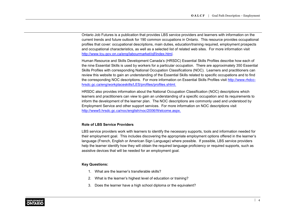Ontario Job Futures is a publication that provides LBS service providers and learners with information on the current trends and future outlook for 190 common occupations in Ontario. This resource provides occupational profiles that cover: occupational descriptions, main duties, education/training required, employment prospects and occupational characteristics, as well as a selected list of related web sites. For more information visit [http://www.tcu.gov.on.ca/eng/labourmarket/ojf/index.html.](http://www.tcu.gov.on.ca/eng/labourmarket/ojf/index.html)

Human Resource and Skills Development Canada's (HRSDC) Essential Skills Profiles describe how each of the nine Essential Skills is used by workers for a particular occupation. There are approximately 350 Essential Skills Profiles with corresponding National Occupation Classifications (NOC). Learners and practitioners can review this website to gain an understanding of the Essential Skills related to specific occupations and to find [the corresponding NOC descriptions. For more information on Essential Skills Profiles visit](http://www.rhdcc-hrsdc.gc.ca/eng/workplaceskills/LES/profiles/profiles.shtml) http://www.rhdcchrsdc.gc.ca/eng/workplaceskills/LES/profiles/profiles.shtml.

HRSDC also provides information about the National Occupation Classification (NOC) descriptions which learners and practitioners can view to gain an understanding of a specific occupation and its requirements to inform the development of the learner plan. The NOC descriptions are commonly used and understood by Employment Service and other support services. For more information on NOC descriptions visit <http://www5.hrsdc.gc.ca/noc/english/noc/2006/Welcome.aspx>.

# **Role of LBS Service Providers**

LBS service providers work with learners to identify the necessary supports, tools and information needed for their employment goal. This includes discovering the appropriate employment options offered in the learner's language (French, English or American Sign Language) where possible. If possible, LBS service providers help the learner identify how they will obtain the required language proficiency or required supports, such as assistive devices that will be needed for an employment goal.

- 1. What are the learner's transferable skills?
- 2. What is the learner's highest level of education or training?
- 3. Does the learner have a high school diploma or the equivalent?

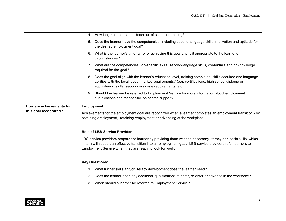|                          | How long has the learner been out of school or training?<br>4.                                                                                                                                                                                                                               |  |  |
|--------------------------|----------------------------------------------------------------------------------------------------------------------------------------------------------------------------------------------------------------------------------------------------------------------------------------------|--|--|
|                          | Does the learner have the competencies, including second-language skills, motivation and aptitude for<br>5.<br>the desired employment goal?                                                                                                                                                  |  |  |
|                          | What is the learner's timeframe for achieving this goal and is it appropriate to the learner's<br>6.<br>circumstances?                                                                                                                                                                       |  |  |
|                          | 7. What are the competencies, job-specific skills, second-language skills, credentials and/or knowledge<br>required for the goal?                                                                                                                                                            |  |  |
|                          | 8. Does the goal align with the learner's education level, training completed, skills acquired and language<br>abilities with the local labour market requirements? (e.g. certifications, high school diploma or<br>equivalency, skills, second-language requirements, etc.)                 |  |  |
|                          | 9. Should the learner be referred to Employment Service for more information about employment<br>qualifications and for specific job search support?                                                                                                                                         |  |  |
| How are achievements for | <b>Employment</b>                                                                                                                                                                                                                                                                            |  |  |
| this goal recognized?    | Achievements for the employment goal are recognized when a learner completes an employment transition - by<br>obtaining employment, retaining employment or advancing at the workplace.                                                                                                      |  |  |
|                          | <b>Role of LBS Service Providers</b>                                                                                                                                                                                                                                                         |  |  |
|                          | LBS service providers prepare the learner by providing them with the necessary literacy and basic skills, which<br>in turn will support an effective transition into an employment goal. LBS service providers refer learners to<br>Employment Service when they are ready to look for work. |  |  |
|                          | <b>Key Questions:</b>                                                                                                                                                                                                                                                                        |  |  |
|                          | What further skills and/or literacy development does the learner need?<br>1.                                                                                                                                                                                                                 |  |  |
|                          | Does the learner need any additional qualifications to enter, re-enter or advance in the workforce?<br>2.                                                                                                                                                                                    |  |  |
|                          |                                                                                                                                                                                                                                                                                              |  |  |
|                          | 3.<br>When should a learner be referred to Employment Service?                                                                                                                                                                                                                               |  |  |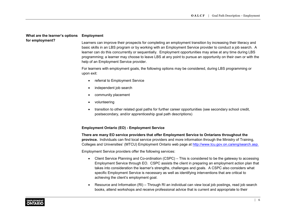#### **What are the learner's options for employment? Employment**

Learners can improve their prospects for completing an employment transition by increasing their literacy and basic skills in an LBS program or by working with an Employment Service provider to conduct a job search. A learner can do this concurrently or sequentially. Employment opportunities may arise at any time during LBS programming; a learner may choose to leave LBS at any point to pursue an opportunity on their own or with the help of an Employment Service provider.

For learners with employment goals, the following options may be considered, during LBS programming or upon exit:

- referral to Employment Service
- independent job search
- community placement
- volunteering
- transition to other related goal paths for further career opportunities (see secondary school credit, postsecondary, and/or apprenticeship goal path descriptions)

# **Employment Ontario (EO) - Employment Service**

**There are many EO service providers that offer Employment Service to Ontarians throughout the province.** Individuals can find local service providers and more information through the Ministry of Training, Colleges and Universities' (MTCU) Employment Ontario web page at [http://www.tcu.gov.on.ca/eng/search.asp.](http://www.tcu.gov.on.ca/eng/search.asp)

Employment Service providers offer the following services:

- Client Service Planning and Co-ordination (CSPC) This is considered to be the gateway to accessing Employment Service through EO. CSPC assists the client in preparing an employment action plan that takes into consideration the learner's strengths, challenges and goals. A CSPC also considers what specific Employment Service is necessary as well as identifying interventions that are critical to achieving the client's employment goal.
- Resource and Information (RI) Through RI an individual can view local job postings, read job search books, attend workshops and receive professional advice that is current and appropriate to their

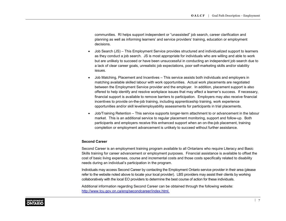communities. RI helps support independent or "unassisted" job search, career clarification and planning as well as informing learners' and service providers' training, education or employment decisions.

- Job Search (JS) This Employment Service provides structured and individualized support to learners as they conduct a job search. JS is most appropriate for individuals who are willing and able to work but are unlikely to succeed or have been unsuccessful in conducting an independent job search due to a lack of clear career goals, unrealistic job expectations, poor self-marketing skills and/or stability issues.
- Job Matching, Placement and Incentives This service assists both individuals and employers in matching available skilled labour with work opportunities. Actual work placements are negotiated between the Employment Service provider and the employer. In addition, placement support is also offered to help identify and resolve workplace issues that may affect a learner's success. If necessary, financial support is available to remove barriers to participation. Employers may also receive financial incentives to provide on-the-job training, including apprenticeship training, work experience opportunities and/or skill level/employability assessments for participants in trial placements.
- Job/Training Retention This service supports longer-term attachment to or advancement in the labour market. This is an additional service to regular placement monitoring, support and follow-up. Both participants and employers receive this enhanced support when an on-the-job placement, training completion or employment advancement is unlikely to succeed without further assistance.

# **Second Career**

Second Career is an employment training program available to all Ontarians who require Literacy and Basic Skills training for career advancement or employment purposes. Financial assistance is available to offset the cost of basic living expenses, course and incremental costs and those costs specifically related to disability needs during an individual's participation in the program.

Individuals may access Second Career by contacting the Employment Ontario service provider in their area (please refer to the website noted above to locate your local provider). LBS providers may assist their clients by working collaboratively with the local EO providers to determine the best course of action for these individuals.

Additional information regarding Second Career can be obtained through the following website: <http://www.tcu.gov.on.ca/eng/secondcareer/index.html>.

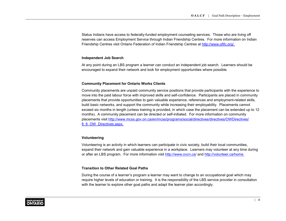Status Indians have access to federally-funded employment counseling services. Those who are living off reserves can access Employment Service through Indian Friendship Centres. For more information on Indian Friendship Centres visit Ontario Federation of Indian Friendship Centres at<http://www.ofifc.org/>.

# **Independent Job Search**

At any point during an LBS program a learner can conduct an independent job search. Learners should be encouraged to expand their network and look for employment opportunities where possible.

# **Community Placement for Ontario Works Clients**

Community placements are unpaid community service positions that provide participants with the experience to move into the paid labour force with improved skills and self-confidence. Participants are placed in community placements that provide opportunities to gain valuable experience, references and employment-related skills, build basic networks, and support the community while increasing their employability. Placements cannot exceed six months in length (unless training is provided, in which case the placement can be extended up to 12 months). A community placement can be directed or self-initiated. For more information on community [placements visit http://www.mcss.gov.on.ca/en/mcss/programs/social/directives/directives/OWDirectives/](http://www.mcss.gov.on.ca/en/mcss/programs/social/directives/directives/OWDirectives/8_6_OW_Directives.aspx) 8\_6\_OW\_Directives.aspx.

# **Volunteering**

Volunteering is an activity in which learners can participate in civic society, build their local communities, expand their network and gain valuable experience in a workplace. Learners may volunteer at any time during or after an LBS program. For more information visit<http://www.ovcn.ca/> and [http://volunteer.ca/home.](http://volunteer.ca/)

# **Transition to Other Related Goal Paths**

During the course of a learner's program a learner may want to change to an occupational goal which may require higher levels of education or training. It is the responsibility of the LBS service provider in consultation with the learner to explore other goal paths and adapt the learner plan accordingly.

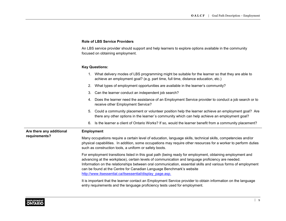# **Role of LBS Service Providers**

An LBS service provider should support and help learners to explore options available in the community focused on obtaining employment.

|                                           | 1. What delivery modes of LBS programming might be suitable for the learner so that they are able to<br>achieve an employment goal? (e.g. part time, full time, distance education, etc.)                                                                                                                                                                                                                                                                            |  |  |
|-------------------------------------------|----------------------------------------------------------------------------------------------------------------------------------------------------------------------------------------------------------------------------------------------------------------------------------------------------------------------------------------------------------------------------------------------------------------------------------------------------------------------|--|--|
|                                           | What types of employment opportunities are available in the learner's community?<br>2.                                                                                                                                                                                                                                                                                                                                                                               |  |  |
|                                           | Can the learner conduct an independent job search?<br>3.                                                                                                                                                                                                                                                                                                                                                                                                             |  |  |
|                                           | Does the learner need the assistance of an Employment Service provider to conduct a job search or to<br>4.<br>receive other Employment Service?                                                                                                                                                                                                                                                                                                                      |  |  |
|                                           | 5.<br>Could a community placement or volunteer position help the learner achieve an employment goal? Are<br>there any other options in the learner's community which can help achieve an employment goal?                                                                                                                                                                                                                                                            |  |  |
|                                           | Is the learner a client of Ontario Works? If so, would the learner benefit from a community placement?<br>6.                                                                                                                                                                                                                                                                                                                                                         |  |  |
| Are there any additional<br>requirements? | <b>Employment</b>                                                                                                                                                                                                                                                                                                                                                                                                                                                    |  |  |
|                                           | Many occupations require a certain level of education, language skills, technical skills, competencies and/or<br>physical capabilities. In addition, some occupations may require other resources for a worker to perform duties<br>such as construction tools, a uniform or safety boots.                                                                                                                                                                           |  |  |
|                                           | For employment transitions listed in this goal path (being ready for employment, obtaining employment and<br>advancing at the workplace), certain levels of communication and language proficiency are needed.<br>Information on the relationships between oral communication, essential skills and various forms of employment<br>can be found at the Centre for Canadian Language Benchmark's website<br>http://www.itsessential.ca/itsessential/display_page.asp. |  |  |
|                                           | It is important that the learner contact an Employment Service provider to obtain information on the language                                                                                                                                                                                                                                                                                                                                                        |  |  |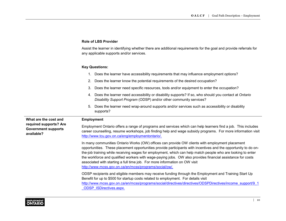# **Role of LBS Provider**

Assist the learner in identifying whether there are additional requirements for the goal and provide referrals for any applicable supports and/or services.

|                                                                                             | Does the learner have accessibility requirements that may influence employment options?<br>1.                                                                                                                                                                                                                                                                                                                                                                                                                                                                                           |  |  |
|---------------------------------------------------------------------------------------------|-----------------------------------------------------------------------------------------------------------------------------------------------------------------------------------------------------------------------------------------------------------------------------------------------------------------------------------------------------------------------------------------------------------------------------------------------------------------------------------------------------------------------------------------------------------------------------------------|--|--|
|                                                                                             | Does the learner know the potential requirements of the desired occupation?<br>2.                                                                                                                                                                                                                                                                                                                                                                                                                                                                                                       |  |  |
|                                                                                             | Does the learner need specific resources, tools and/or equipment to enter the occupation?<br>3.                                                                                                                                                                                                                                                                                                                                                                                                                                                                                         |  |  |
|                                                                                             | Does the learner need accessibility or disability supports? If so, who should you contact at Ontario<br>4.<br>Disability Support Program (ODSP) and/or other community services?                                                                                                                                                                                                                                                                                                                                                                                                        |  |  |
|                                                                                             | Does the learner need wrap-around supports and/or services such as accessibility or disability<br>5.<br>supports?                                                                                                                                                                                                                                                                                                                                                                                                                                                                       |  |  |
| What are the cost and<br>required supports? Are<br><b>Government supports</b><br>available? | <b>Employment</b>                                                                                                                                                                                                                                                                                                                                                                                                                                                                                                                                                                       |  |  |
|                                                                                             | Employment Ontario offers a range of programs and services which can help learners find a job. This includes<br>career counselling, resume workshops, job finding help and wage subsidy programs. For more information visit<br>http://www.tcu.gov.on.ca/eng/employmentontario/.                                                                                                                                                                                                                                                                                                        |  |  |
|                                                                                             | In many communities Ontario Works (OW) offices can provide OW clients with employment placement<br>opportunities. These placement opportunities provide participants with incentives and the opportunity to do on-<br>the-job training while receiving wages for employment, which can help match people who are looking to enter<br>the workforce and qualified workers with wage-paying jobs. OW also provides financial assistance for costs<br>associated with starting a full time job. For more information on OW visit<br>http://www.mcss.gov.on.ca/en/mcss/programs/social/ow/. |  |  |
|                                                                                             | ODSP recipients and eligible members may receive funding through the Employment and Training Start Up<br>Benefit for up to \$500 for startup costs related to employment. For details visit<br>http://www.mcss.gov.on.ca/en/mcss/programs/social/directives/directives/ODSPDirectives/income support/9 1                                                                                                                                                                                                                                                                                |  |  |
|                                                                                             |                                                                                                                                                                                                                                                                                                                                                                                                                                                                                                                                                                                         |  |  |



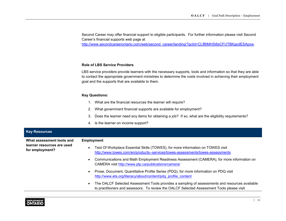Second Career may offer financial support to eligible participants. For further information please visit Second Career's financial supports web page at

[http://www.secondcareerontario.com/web/second\\_career/landing/?gclid=CLfBtMHSi6sCFUTBKgodESApxw.](http://www.secondcareerontario.com/web/second_career/landing/?gclid=CLfBtMHSi6sCFUTBKgodESApxw)

#### **Role of LBS Service Providers**

LBS service providers provide learners with the necessary supports, tools and information so that they are able to contact the appropriate government ministries to determine the costs involved in achieving their employment goal and the supports that are available to them.

- 1. What are the financial resources the learner will require?
- 2. What government financial supports are available for employment?
- 3. Does the learner need any items for obtaining a job? If so, what are the eligibility requirements?
- 4. Is the learner on income support?

| <b>Key Resources</b>                                                       |                                                                                                                                                                                              |  |  |
|----------------------------------------------------------------------------|----------------------------------------------------------------------------------------------------------------------------------------------------------------------------------------------|--|--|
| What assessment tools and<br>learner resources are used<br>for employment? | <b>Employment</b>                                                                                                                                                                            |  |  |
|                                                                            | Test Of Workplace Essential Skills (TOWES), for more information on TOWES visit<br>http://www.towes.com/en/products--services/towes-assessments/towes-assessments                            |  |  |
|                                                                            | Communications and Math Employment Readiness Assessment (CAMERA), for more information on<br>CAMERA visit http://www.ptp.ca/publications/camera/                                             |  |  |
|                                                                            | Prose, Document, Quantitative Profile Series (PDQ), for more information on PDQ visit<br>http://www.ets.org/literacy/about/content/pdq profile content                                       |  |  |
|                                                                            | The OALCF Selected Assessment Tools provides a sampling of assessments and resources available<br>to practitioners and assessors. To review the OALCF Selected Assessment Tools please visit |  |  |

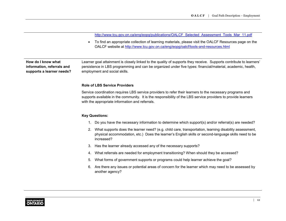[http://www.tcu.gov.on.ca/eng/eopg/publications/OALCF\\_Selected\\_Assessment\\_Tools\\_Mar\\_11.pdf](http://www.tcu.gov.on.ca/eng/eopg/publications/OALCF_Selected_Assessment_Tools_Mar_11.pdf)

• To find an appropriate collection of learning materials, please visit the OALCF Resources page on the OALCF website at<http://www.tcu.gov.on.ca/eng/eopg/oalcf/tools-and-resources.html>

**How do I know what information, referrals and supports a learner needs?**

Learner goal attainment is closely linked to the quality of supports they receive. Supports contribute to learners' persistence in LBS programming and can be organized under five types: financial/material, academic, health, employment and social skills.

#### **Role of LBS Service Providers**

Service coordination requires LBS service providers to refer their learners to the necessary programs and supports available in the community. It is the responsibility of the LBS service providers to provide learners with the appropriate information and referrals.

- 1. Do you have the necessary information to determine which support(s) and/or referral(s) are needed?
- 2. What supports does the learner need? (e.g. child care, transportation, learning disability assessment, physical accommodation, etc.) Does the learner's English skills or second-language skills need to be increased?
- 3. Has the learner already accessed any of the necessary supports?
- 4. What referrals are needed for employment transitioning? When should they be accessed?
- 5. What forms of government supports or programs could help learner achieve the goal?
- 6. Are there any issues or potential areas of concern for the learner which may need to be assessed by another agency?

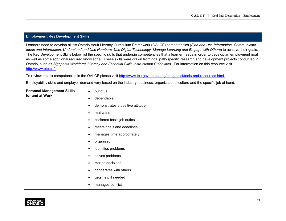# **Employment Key Development Skills**

Learners need to develop all six Ontario Adult Literacy Curriculum Framework (OALCF) competencies (*Find and Use Information*, *Communicate Ideas and Information*, *Understand and Use Numbers*, *Use Digital Technology, Manage Learning and Engage with Others*) to achieve their goals. The Key Development Skills below list the specific skills that underpin competencies that a learner needs in order to develop an employment goal as well as some additional required knowledge. These skills were drawn from goal path-specific research and development projects conducted in Ontario, such as *Signposts Workforce Literacy and Essential Skills Instructional Guidelines.* For information on this resource visit <http://www.ptp.ca/>.

To review the six competencies in the OALCF please visit <http://www.tcu.gov.on.ca/eng/eopg/oalcf/tools-and-resources.html>.

Employability skills and employer-demand vary based on the industry, business, organizational culture and the specific job at hand.

| <b>Personal Management Skills</b> | $\bullet$ | punctual                         |
|-----------------------------------|-----------|----------------------------------|
| for and at Work                   | $\bullet$ | dependable                       |
|                                   | $\bullet$ | demonstrates a positive attitude |
|                                   |           | motivated                        |
|                                   |           | performs basic job duties        |
|                                   | $\bullet$ | meets goals and deadlines        |
|                                   | $\bullet$ | manages time appropriately       |
|                                   | $\bullet$ | organized                        |
|                                   |           | identifies problems              |
|                                   | $\bullet$ | solves problems                  |
|                                   | $\bullet$ | makes decisions                  |
|                                   | ٠         | cooperates with others           |
|                                   | $\bullet$ | gets help if needed              |
|                                   |           | manages conflict                 |
|                                   |           |                                  |

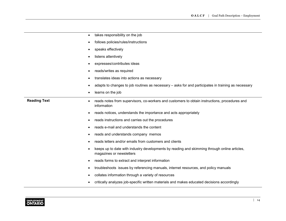| ٠                        | takes responsibility on the job                                                                                          |
|--------------------------|--------------------------------------------------------------------------------------------------------------------------|
|                          | follows policies/rules/instructions                                                                                      |
| ٠                        | speaks effectively                                                                                                       |
|                          | listens attentively                                                                                                      |
|                          | expresses/contributes ideas                                                                                              |
| ٠                        | reads/writes as required                                                                                                 |
|                          | translates ideas into actions as necessary                                                                               |
| ٠                        | adapts to changes to job routines as necessary – asks for and participates in training as necessary                      |
|                          | learns on the job                                                                                                        |
| <b>Reading Text</b><br>٠ | reads notes from supervisors, co-workers and customers to obtain instructions, procedures and<br>information             |
|                          | reads notices, understands the importance and acts appropriately                                                         |
| ٠                        | reads instructions and carries out the procedures                                                                        |
| $\bullet$                | reads e-mail and understands the content                                                                                 |
| ٠                        | reads and understands company memos                                                                                      |
| ٠                        | reads letters and/or emails from customers and clients                                                                   |
|                          | keeps up to date with industry developments by reading and skimming through online articles,<br>magazines or newsletters |
|                          | reads forms to extract and interpret information                                                                         |
| ٠                        | troubleshoots issues by referencing manuals, internet resources, and policy manuals                                      |
| ٠                        | collates information through a variety of resources                                                                      |
|                          | critically analyzes job-specific written materials and makes educated decisions accordingly                              |

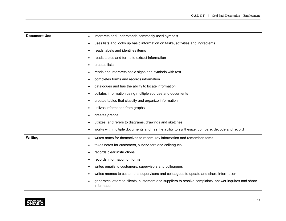| <b>Document Use</b><br>٠ | interprets and understands commonly used symbols                                                                      |
|--------------------------|-----------------------------------------------------------------------------------------------------------------------|
|                          | uses lists and looks up basic information on tasks, activities and ingredients                                        |
|                          | reads labels and identifies items                                                                                     |
|                          | reads tables and forms to extract information                                                                         |
|                          | creates lists                                                                                                         |
|                          | reads and interprets basic signs and symbols with text                                                                |
|                          | completes forms and records information                                                                               |
|                          | catalogues and has the ability to locate information                                                                  |
|                          | collates information using multiple sources and documents                                                             |
|                          | creates tables that classify and organize information                                                                 |
|                          | utilizes information from graphs                                                                                      |
|                          | creates graphs                                                                                                        |
|                          | utilizes and refers to diagrams, drawings and sketches                                                                |
|                          | works with multiple documents and has the ability to synthesize, compare, decode and record                           |
| Writing                  | writes notes for themselves to record key information and remember items                                              |
|                          | takes notes for customers, supervisors and colleagues                                                                 |
|                          | records clear instructions                                                                                            |
|                          | records information on forms                                                                                          |
|                          | writes emails to customers, supervisors and colleagues                                                                |
|                          | writes memos to customers, supervisors and colleagues to update and share information                                 |
|                          | generates letters to clients, customers and suppliers to resolve complaints, answer inquires and share<br>information |

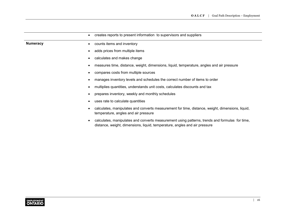|                 | creates reports to present information to supervisors and suppliers                                                                                                          |
|-----------------|------------------------------------------------------------------------------------------------------------------------------------------------------------------------------|
| <b>Numeracy</b> | counts items and inventory                                                                                                                                                   |
|                 | adds prices from multiple items                                                                                                                                              |
|                 | calculates and makes change                                                                                                                                                  |
|                 | measures time, distance, weight, dimensions, liquid, temperature, angles and air pressure                                                                                    |
|                 | compares costs from multiple sources                                                                                                                                         |
|                 | manages inventory levels and schedules the correct number of items to order                                                                                                  |
|                 | multiplies quantities, understands unit costs, calculates discounts and tax                                                                                                  |
|                 | prepares inventory, weekly and monthly schedules                                                                                                                             |
|                 | uses rate to calculate quantities                                                                                                                                            |
|                 | calculates, manipulates and converts measurement for time, distance, weight, dimensions, liquid,<br>temperature, angles and air pressure                                     |
|                 | calculates, manipulates and converts measurement using patterns, trends and formulas for time,<br>distance, weight, dimensions, liquid, temperature, angles and air pressure |
|                 |                                                                                                                                                                              |